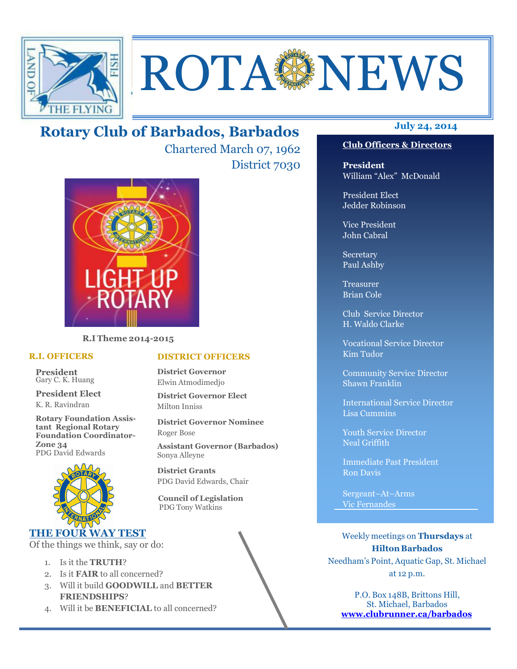

# **ROTA SENEWS**

# **July 24, 2014 Rotary Club of Barbados, Barbados**

Chartered March 07, 1962 District 7030



**R.I Theme 2014-2015** 

#### **R.I. OFFICERS**

**President** Gary C. K. Huang

**President Elect** K. R. Ravindran

**Rotary Foundation Assistant Regional Rotary Foundation Coordinator-Zone 34**  PDG David Edwards



#### **THE FOUR WAY TEST**

Of the things we think, say or do:

- 1. Is it the **TRUTH**?
- 2. Is it **FAIR** to all concerned?
- 3. Will it build **GOODWILL** and **BETTER FRIENDSHIPS**?
- 4. Will it be **BENEFICIAL** to all concerned?

#### **Club Officers & Directors**

**President** William "Alex" McDonald

President Elect Jedder Robinson

Vice President John Cabral

Secretary Paul Ashby

Treasurer Brian Cole

Club Service Director H. Waldo Clarke

Vocational Service Director Kim Tudor

Community Service Director Shawn Franklin

International Service Director Lisa Cummins

Youth Service Director Neal Griffith

Immediate Past President Ron Davis

Sergeant–At–Arms Vic Fernandes

Weekly meetings on **Thursdays** at **Hilton Barbados** Needham's Point, Aquatic Gap, St. Michael at 12 p.m.

P.O. Box 148B, Brittons Hill, St. Michael, Barbados **www.clubrunner.ca/barbados**

#### **DISTRICT OFFICERS**

**District Governor** Elwin Atmodimedjo

**District Governor Elect** Milton Inniss

**District Governor Nominee**  Roger Bose

**Assistant Governor (Barbados)** Sonya Alleyne

**District Grants**  PDG David Edwards, Chair

 **Council of Legislation**  PDG Tony Watkins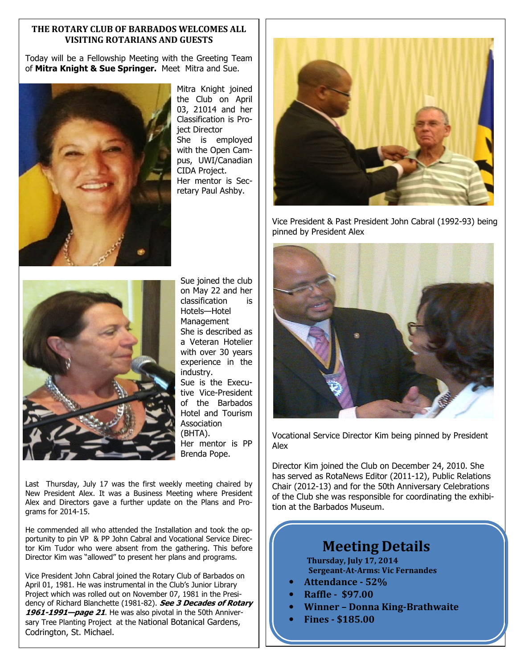#### **THE ROTARY CLUB OF BARBADOS WELCOMES ALL VISITING ROTARIANS AND GUESTS**

Today will be a Fellowship Meeting with the Greeting Team of **Mitra Knight & Sue Springer.** Meet Mitra and Sue.



Mitra Knight joined the Club on April 03, 21014 and her Classification is Project Director She is employed with the Open Campus, UWI/Canadian CIDA Project. Her mentor is Secretary Paul Ashby.



Vice President & Past President John Cabral (1992-93) being pinned by President Alex



Sue joined the club on May 22 and her classification is Hotels—Hotel **Management** She is described as a Veteran Hotelier with over 30 years experience in the industry. Sue is the Executive Vice-President of the Barbados Hotel and Tourism Association (BHTA). Her mentor is PP Brenda Pope.

Last Thursday, July 17 was the first weekly meeting chaired by New President Alex. It was a Business Meeting where President Alex and Directors gave a further update on the Plans and Programs for 2014-15.

He commended all who attended the Installation and took the opportunity to pin VP & PP John Cabral and Vocational Service Director Kim Tudor who were absent from the gathering. This before Director Kim was "allowed" to present her plans and programs.

Vice President John Cabral joined the Rotary Club of Barbados on April 01, 1981. He was instrumental in the Club's Junior Library Project which was rolled out on November 07, 1981 in the Presidency of Richard Blanchette (1981-82). **See 3 Decades of Rotary 1961-1991—page 21**. He was also pivotal in the 50th Anniversary Tree Planting Project at the National Botanical Gardens, Codrington, St. Michael.



Vocational Service Director Kim being pinned by President Alex

Director Kim joined the Club on December 24, 2010. She has served as RotaNews Editor (2011-12), Public Relations Chair (2012-13) and for the 50th Anniversary Celebrations of the Club she was responsible for coordinating the exhibition at the Barbados Museum.

# **Meeting Details**

**Thursday, July 17, 2014 Sergeant-At-Arms: Vic Fernandes** 

- **Attendance 52%**
- **Raffle \$97.00**
- **Winner Donna King-Brathwaite**
- **Fines \$185.00**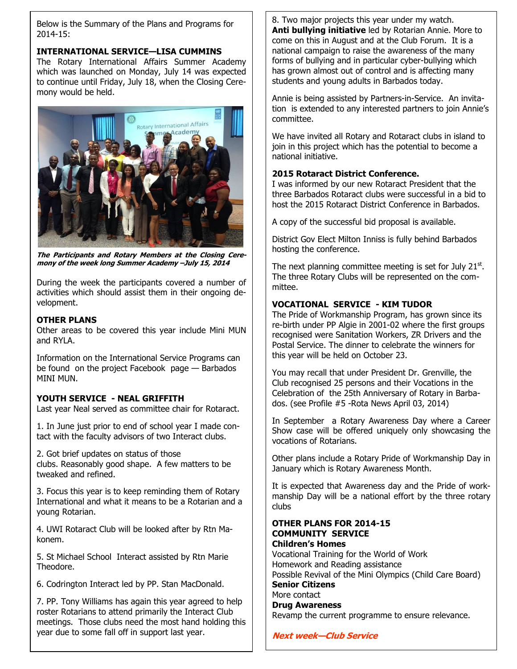Below is the Summary of the Plans and Programs for 2014-15:

#### **INTERNATIONAL SERVICE—LISA CUMMINS**

The Rotary International Affairs Summer Academy which was launched on Monday, July 14 was expected to continue until Friday, July 18, when the Closing Ceremony would be held.



**The Participants and Rotary Members at the Closing Ceremony of the week long Summer Academy –July 15, 2014**

During the week the participants covered a number of activities which should assist them in their ongoing development.

#### **OTHER PLANS**

Other areas to be covered this year include Mini MUN and RYLA.

Information on the International Service Programs can be found on the project Facebook page — Barbados MINI MUN.

#### **YOUTH SERVICE - NEAL GRIFFITH**

Last year Neal served as committee chair for Rotaract.

1. In June just prior to end of school year I made contact with the faculty advisors of two Interact clubs.

2. Got brief updates on status of those clubs. Reasonably good shape. A few matters to be tweaked and refined.

3. Focus this year is to keep reminding them of Rotary International and what it means to be a Rotarian and a young Rotarian.

4. UWI Rotaract Club will be looked after by Rtn Makonem.

5. St Michael School Interact assisted by Rtn Marie Theodore.

6. Codrington Interact led by PP. Stan MacDonald.

7. PP. Tony Williams has again this year agreed to help roster Rotarians to attend primarily the Interact Club meetings. Those clubs need the most hand holding this year due to some fall off in support last year.

8. Two major projects this year under my watch. **Anti bullying initiative** led by Rotarian Annie. More to come on this in August and at the Club Forum. It is a national campaign to raise the awareness of the many forms of bullying and in particular cyber-bullying which has grown almost out of control and is affecting many students and young adults in Barbados today.

Annie is being assisted by Partners-in-Service. An invitation is extended to any interested partners to join Annie's committee.

We have invited all Rotary and Rotaract clubs in island to join in this project which has the potential to become a national initiative.

#### **2015 Rotaract District Conference.**

I was informed by our new Rotaract President that the three Barbados Rotaract clubs were successful in a bid to host the 2015 Rotaract District Conference in Barbados.

A copy of the successful bid proposal is available.

District Gov Elect Milton Inniss is fully behind Barbados hosting the conference.

The next planning committee meeting is set for July  $21<sup>st</sup>$ . The three Rotary Clubs will be represented on the committee.

#### **VOCATIONAL SERVICE - KIM TUDOR**

The Pride of Workmanship Program, has grown since its re-birth under PP Algie in 2001-02 where the first groups recognised were Sanitation Workers, ZR Drivers and the Postal Service. The dinner to celebrate the winners for this year will be held on October 23.

You may recall that under President Dr. Grenville, the Club recognised 25 persons and their Vocations in the Celebration of the 25th Anniversary of Rotary in Barbados. (see Profile #5 -Rota News April 03, 2014)

In September a Rotary Awareness Day where a Career Show case will be offered uniquely only showcasing the vocations of Rotarians.

Other plans include a Rotary Pride of Workmanship Day in January which is Rotary Awareness Month.

It is expected that Awareness day and the Pride of workmanship Day will be a national effort by the three rotary clubs

#### **OTHER PLANS FOR 2014-15 COMMUNITY SERVICE**

**Children's Homes**  Vocational Training for the World of Work Homework and Reading assistance Possible Revival of the Mini Olympics (Child Care Board) **Senior Citizens**  More contact **Drug Awareness** 

Revamp the current programme to ensure relevance.

**Next week—Club Service**